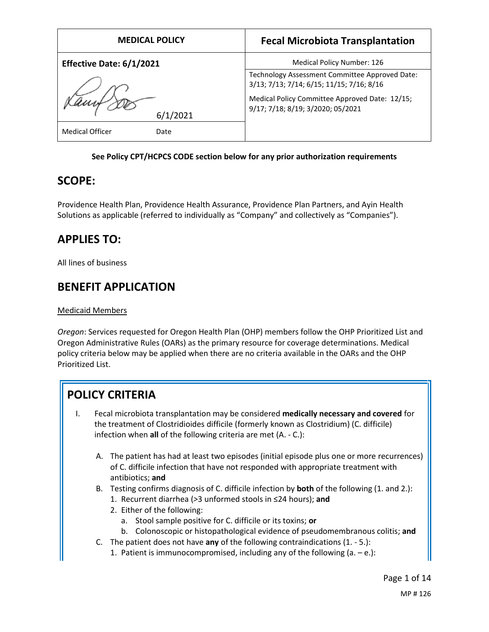| <b>MEDICAL POLICY</b>          | <b>Fecal Microbiota Transplantation</b>                                                                                                       |
|--------------------------------|-----------------------------------------------------------------------------------------------------------------------------------------------|
| Effective Date: 6/1/2021       | Medical Policy Number: 126                                                                                                                    |
| 6/1/2021                       | Technology Assessment Committee Approved Date:<br>3/13; 7/13; 7/14; 6/15; 11/15; 7/16; 8/16<br>Medical Policy Committee Approved Date: 12/15; |
|                                | 9/17; 7/18; 8/19; 3/2020; 05/2021                                                                                                             |
| <b>Medical Officer</b><br>Date |                                                                                                                                               |

## **See Policy CPT/HCPCS CODE section below for any prior authorization requirements**

## **SCOPE:**

Providence Health Plan, Providence Health Assurance, Providence Plan Partners, and Ayin Health Solutions as applicable (referred to individually as "Company" and collectively as "Companies").

## **APPLIES TO:**

All lines of business

## **BENEFIT APPLICATION**

## Medicaid Members

*Oregon*: Services requested for Oregon Health Plan (OHP) members follow the OHP Prioritized List and Oregon Administrative Rules (OARs) as the primary resource for coverage determinations. Medical policy criteria below may be applied when there are no criteria available in the OARs and the OHP Prioritized List.

# **POLICY CRITERIA**

- I. Fecal microbiota transplantation may be considered **medically necessary and covered** for the treatment of Clostridioides difficile (formerly known as Clostridium) (C. difficile) infection when **all** of the following criteria are met (A. - C.):
	- A. The patient has had at least two episodes (initial episode plus one or more recurrences) of C. difficile infection that have not responded with appropriate treatment with antibiotics; **and**
	- B. Testing confirms diagnosis of C. difficile infection by **both** of the following (1. and 2.):
		- 1. Recurrent diarrhea (*>*3 unformed stools in ≤24 hours); **and**
		- 2. Either of the following:
			- a. Stool sample positive for C. difficile or its toxins; **or**
			- b. Colonoscopic or histopathological evidence of pseudomembranous colitis; **and**
	- C. The patient does not have **any** of the following contraindications (1. 5.):
		- 1. Patient is immunocompromised, including any of the following  $(a e)$ :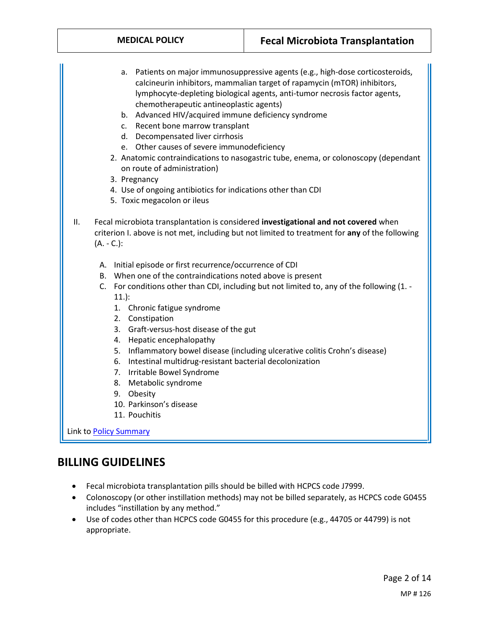| <b>MEDICAL POLICY</b>                                                                                                                                                                                                                                                                                                                                                                                                                                        | <b>Fecal Microbiota Transplantation</b>                                                                                                                                                                                                                                                                                                                                                                                                                                                                                |
|--------------------------------------------------------------------------------------------------------------------------------------------------------------------------------------------------------------------------------------------------------------------------------------------------------------------------------------------------------------------------------------------------------------------------------------------------------------|------------------------------------------------------------------------------------------------------------------------------------------------------------------------------------------------------------------------------------------------------------------------------------------------------------------------------------------------------------------------------------------------------------------------------------------------------------------------------------------------------------------------|
| а.<br>chemotherapeutic antineoplastic agents)<br>b. Advanced HIV/acquired immune deficiency syndrome<br>Recent bone marrow transplant<br>C.<br>d. Decompensated liver cirrhosis<br>e. Other causes of severe immunodeficiency<br>on route of administration)<br>3. Pregnancy<br>4. Use of ongoing antibiotics for indications other than CDI<br>5. Toxic megacolon or ileus<br>ΙΙ.                                                                           | Patients on major immunosuppressive agents (e.g., high-dose corticosteroids,<br>calcineurin inhibitors, mammalian target of rapamycin (mTOR) inhibitors,<br>lymphocyte-depleting biological agents, anti-tumor necrosis factor agents,<br>2. Anatomic contraindications to nasogastric tube, enema, or colonoscopy (dependant<br>Fecal microbiota transplantation is considered investigational and not covered when<br>criterion I. above is not met, including but not limited to treatment for any of the following |
| $(A. - C.):$<br>A. Initial episode or first recurrence/occurrence of CDI<br>B. When one of the contraindications noted above is present<br>$11.$ :<br>1. Chronic fatigue syndrome<br>2. Constipation<br>3. Graft-versus-host disease of the gut<br>4. Hepatic encephalopathy<br>6. Intestinal multidrug-resistant bacterial decolonization<br>7. Irritable Bowel Syndrome<br>8. Metabolic syndrome<br>9. Obesity<br>10. Parkinson's disease<br>11. Pouchitis | C. For conditions other than CDI, including but not limited to, any of the following (1. -<br>5. Inflammatory bowel disease (including ulcerative colitis Crohn's disease)                                                                                                                                                                                                                                                                                                                                             |

**Link to <u>Policy Summary</u>** 

# **BILLING GUIDELINES**

- Fecal microbiota transplantation pills should be billed with HCPCS code J7999.
- Colonoscopy (or other instillation methods) may not be billed separately, as HCPCS code G0455 includes "instillation by any method."
- Use of codes other than HCPCS code G0455 for this procedure (e.g., 44705 or 44799) is not appropriate.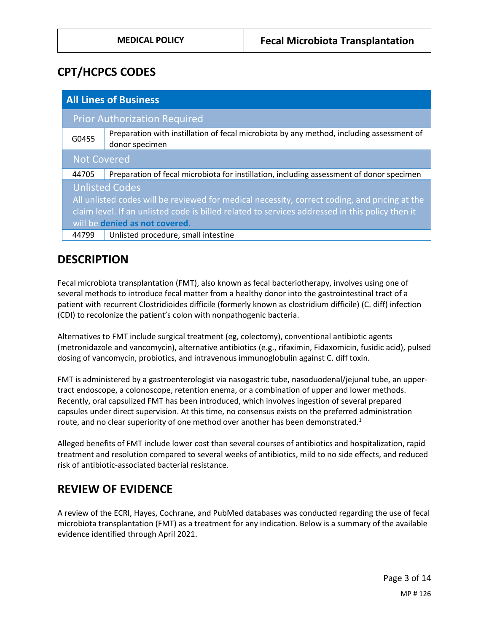## **CPT/HCPCS CODES**

| <b>All Lines of Business</b>                                                                    |                                                                                                            |
|-------------------------------------------------------------------------------------------------|------------------------------------------------------------------------------------------------------------|
|                                                                                                 | <b>Prior Authorization Required</b>                                                                        |
| G0455                                                                                           | Preparation with instillation of fecal microbiota by any method, including assessment of<br>donor specimen |
| <b>Not Covered</b>                                                                              |                                                                                                            |
| 44705                                                                                           | Preparation of fecal microbiota for instillation, including assessment of donor specimen                   |
| <b>Unlisted Codes</b>                                                                           |                                                                                                            |
| All unlisted codes will be reviewed for medical necessity, correct coding, and pricing at the   |                                                                                                            |
| claim level. If an unlisted code is billed related to services addressed in this policy then it |                                                                                                            |
| will be denied as not covered.                                                                  |                                                                                                            |
| 44799                                                                                           | Unlisted procedure, small intestine                                                                        |

# **DESCRIPTION**

Fecal microbiota transplantation (FMT), also known as fecal bacteriotherapy, involves using one of several methods to introduce fecal matter from a healthy donor into the gastrointestinal tract of a patient with recurrent Clostridioides difficile (formerly known as clostridium difficile) (C. diff) infection (CDI) to recolonize the patient's colon with nonpathogenic bacteria.

Alternatives to FMT include surgical treatment (eg, colectomy), conventional antibiotic agents (metronidazole and vancomycin), alternative antibiotics (e.g., rifaximin, Fidaxomicin, fusidic acid), pulsed dosing of vancomycin, probiotics, and intravenous immunoglobulin against C. diff toxin.

FMT is administered by a gastroenterologist via nasogastric tube, nasoduodenal/jejunal tube, an uppertract endoscope, a colonoscope, retention enema, or a combination of upper and lower methods. Recently, oral capsulized FMT has been introduced, which involves ingestion of several prepared capsules under direct supervision. At this time, no consensus exists on the preferred administration route, and no clear superiority of one method over another has been demonstrated.<sup>1</sup>

Alleged benefits of FMT include lower cost than several courses of antibiotics and hospitalization, rapid treatment and resolution compared to several weeks of antibiotics, mild to no side effects, and reduced risk of antibiotic-associated bacterial resistance.

## **REVIEW OF EVIDENCE**

A review of the ECRI, Hayes, Cochrane, and PubMed databases was conducted regarding the use of fecal microbiota transplantation (FMT) as a treatment for any indication. Below is a summary of the available evidence identified through April 2021.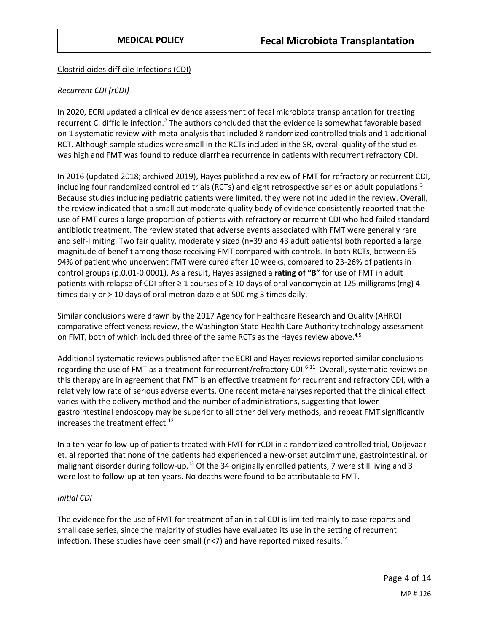## Clostridioides difficile Infections (CDI)

## *Recurrent CDI (rCDI)*

In 2020, ECRI updated a clinical evidence assessment of fecal microbiota transplantation for treating recurrent C. difficile infection.<sup>2</sup> The authors concluded that the evidence is somewhat favorable based on 1 systematic review with meta-analysis that included 8 randomized controlled trials and 1 additional RCT. Although sample studies were small in the RCTs included in the SR, overall quality of the studies was high and FMT was found to reduce diarrhea recurrence in patients with recurrent refractory CDI.

In 2016 (updated 2018; archived 2019), Hayes published a review of FMT for refractory or recurrent CDI, including four randomized controlled trials (RCTs) and eight retrospective series on adult populations.<sup>3</sup> Because studies including pediatric patients were limited, they were not included in the review. Overall, the review indicated that a small but moderate-quality body of evidence consistently reported that the use of FMT cures a large proportion of patients with refractory or recurrent CDI who had failed standard antibiotic treatment. The review stated that adverse events associated with FMT were generally rare and self-limiting. Two fair quality, moderately sized (n=39 and 43 adult patients) both reported a large magnitude of benefit among those receiving FMT compared with controls. In both RCTs, between 65- 94% of patient who underwent FMT were cured after 10 weeks, compared to 23-26% of patients in control groups (p.0.01-0.0001). As a result, Hayes assigned a **rating of "B"** for use of FMT in adult patients with relapse of CDI after  $\geq 1$  courses of  $\geq 10$  days of oral vancomycin at 125 milligrams (mg) 4 times daily or > 10 days of oral metronidazole at 500 mg 3 times daily.

Similar conclusions were drawn by the 2017 Agency for Healthcare Research and Quality (AHRQ) comparative effectiveness review, the Washington State Health Care Authority technology assessment on FMT, both of which included three of the same RCTs as the Hayes review above.<sup>4,5</sup>

Additional systematic reviews published after the ECRI and Hayes reviews reported similar conclusions regarding the use of FMT as a treatment for recurrent/refractory CDI.<sup>6-11</sup> Overall, systematic reviews on this therapy are in agreement that FMT is an effective treatment for recurrent and refractory CDI, with a relatively low rate of serious adverse events. One recent meta-analyses reported that the clinical effect varies with the delivery method and the number of administrations, suggesting that lower gastrointestinal endoscopy may be superior to all other delivery methods, and repeat FMT significantly increases the treatment effect.<sup>12</sup>

In a ten-year follow-up of patients treated with FMT for rCDI in a randomized controlled trial, Ooijevaar et. al reported that none of the patients had experienced a new-onset autoimmune, gastrointestinal, or malignant disorder during follow-up.<sup>13</sup> Of the 34 originally enrolled patients, 7 were still living and 3 were lost to follow-up at ten-years. No deaths were found to be attributable to FMT.

## *Initial CDI*

The evidence for the use of FMT for treatment of an initial CDI is limited mainly to case reports and small case series, since the majority of studies have evaluated its use in the setting of recurrent infection. These studies have been small ( $n < 7$ ) and have reported mixed results.<sup>14</sup>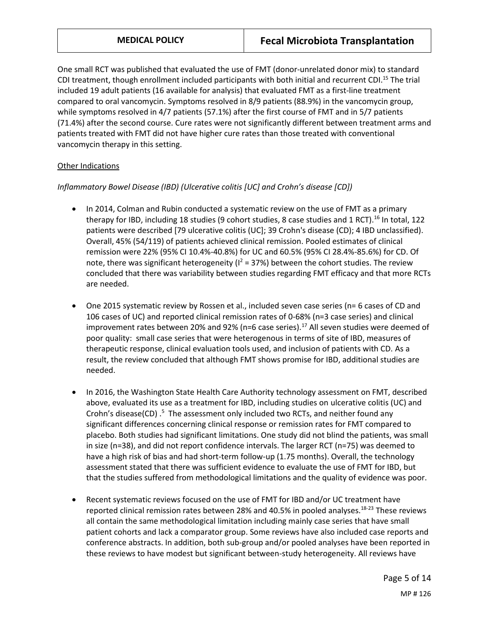One small RCT was published that evaluated the use of FMT (donor-unrelated donor mix) to standard CDI treatment, though enrollment included participants with both initial and recurrent CDI.<sup>15</sup> The trial included 19 adult patients (16 available for analysis) that evaluated FMT as a first-line treatment compared to oral vancomycin. Symptoms resolved in 8/9 patients (88.9%) in the vancomycin group, while symptoms resolved in 4/7 patients (57.1%) after the first course of FMT and in 5/7 patients (71.4%) after the second course. Cure rates were not significantly different between treatment arms and patients treated with FMT did not have higher cure rates than those treated with conventional vancomycin therapy in this setting.

## Other Indications

## *Inflammatory Bowel Disease (IBD) (Ulcerative colitis [UC] and Crohn's disease [CD])*

- In 2014, Colman and Rubin conducted a systematic review on the use of FMT as a primary therapy for IBD, including 18 studies (9 cohort studies, 8 case studies and 1 RCT).<sup>16</sup> In total, 122 patients were described [79 ulcerative colitis (UC]; 39 Crohn's disease (CD); 4 IBD unclassified). Overall, 45% (54/119) of patients achieved clinical remission. Pooled estimates of clinical remission were 22% (95% CI 10.4%-40.8%) for UC and 60.5% (95% CI 28.4%-85.6%) for CD. Of note, there was significant heterogeneity ( $1^2$  = 37%) between the cohort studies. The review concluded that there was variability between studies regarding FMT efficacy and that more RCTs are needed.
- One 2015 systematic review by Rossen et al., included seven case series (n= 6 cases of CD and 106 cases of UC) and reported clinical remission rates of 0-68% (n=3 case series) and clinical improvement rates between 20% and 92% (n=6 case series).<sup>17</sup> All seven studies were deemed of poor quality: small case series that were heterogenous in terms of site of IBD, measures of therapeutic response, clinical evaluation tools used, and inclusion of patients with CD. As a result, the review concluded that although FMT shows promise for IBD, additional studies are needed.
- In 2016, the Washington State Health Care Authority technology assessment on FMT, described above, evaluated its use as a treatment for IBD, including studies on ulcerative colitis (UC) and Crohn's disease(CD) .<sup>5</sup> The assessment only included two RCTs, and neither found any significant differences concerning clinical response or remission rates for FMT compared to placebo. Both studies had significant limitations. One study did not blind the patients, was small in size (n=38), and did not report confidence intervals. The larger RCT (n=75) was deemed to have a high risk of bias and had short-term follow-up (1.75 months). Overall, the technology assessment stated that there was sufficient evidence to evaluate the use of FMT for IBD, but that the studies suffered from methodological limitations and the quality of evidence was poor.
- Recent systematic reviews focused on the use of FMT for IBD and/or UC treatment have reported clinical remission rates between 28% and 40.5% in pooled analyses.<sup>18-23</sup> These reviews all contain the same methodological limitation including mainly case series that have small patient cohorts and lack a comparator group. Some reviews have also included case reports and conference abstracts. In addition, both sub-group and/or pooled analyses have been reported in these reviews to have modest but significant between-study heterogeneity. All reviews have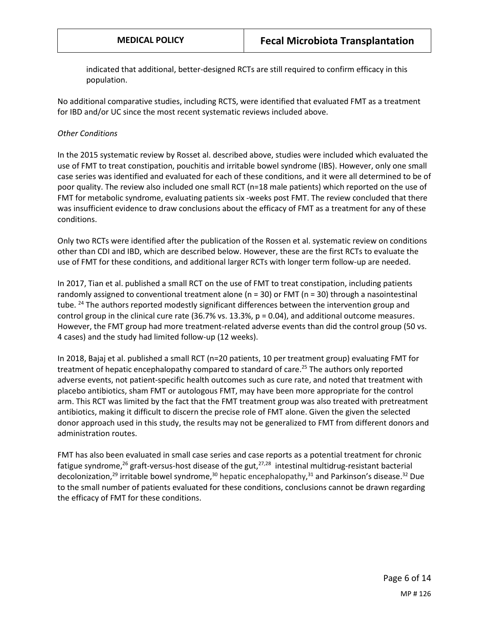indicated that additional, better-designed RCTs are still required to confirm efficacy in this population.

No additional comparative studies, including RCTS, were identified that evaluated FMT as a treatment for IBD and/or UC since the most recent systematic reviews included above.

## *Other Conditions*

In the 2015 systematic review by Rosset al. described above, studies were included which evaluated the use of FMT to treat constipation, pouchitis and irritable bowel syndrome (IBS). However, only one small case series was identified and evaluated for each of these conditions, and it were all determined to be of poor quality. The review also included one small RCT (n=18 male patients) which reported on the use of FMT for metabolic syndrome, evaluating patients six -weeks post FMT. The review concluded that there was insufficient evidence to draw conclusions about the efficacy of FMT as a treatment for any of these conditions.

Only two RCTs were identified after the publication of the Rossen et al. systematic review on conditions other than CDI and IBD, which are described below. However, these are the first RCTs to evaluate the use of FMT for these conditions, and additional larger RCTs with longer term follow-up are needed.

In 2017, Tian et al. published a small RCT on the use of FMT to treat constipation, including patients randomly assigned to conventional treatment alone ( $n = 30$ ) or FMT ( $n = 30$ ) through a nasointestinal tube. <sup>24</sup> The authors reported modestly significant differences between the intervention group and control group in the clinical cure rate (36.7% vs. 13.3%,  $p = 0.04$ ), and additional outcome measures. However, the FMT group had more treatment-related adverse events than did the control group (50 vs. 4 cases) and the study had limited follow-up (12 weeks).

In 2018, Bajaj et al. published a small RCT (n=20 patients, 10 per treatment group) evaluating FMT for treatment of hepatic encephalopathy compared to standard of care. <sup>25</sup> The authors only reported adverse events, not patient-specific health outcomes such as cure rate, and noted that treatment with placebo antibiotics, sham FMT or autologous FMT, may have been more appropriate for the control arm. This RCT was limited by the fact that the FMT treatment group was also treated with pretreatment antibiotics, making it difficult to discern the precise role of FMT alone. Given the given the selected donor approach used in this study, the results may not be generalized to FMT from different donors and administration routes.

FMT has also been evaluated in small case series and case reports as a potential treatment for chronic fatigue syndrome,<sup>26</sup> graft-versus-host disease of the gut,<sup>27,28</sup> intestinal multidrug-resistant bacterial decolonization,<sup>29</sup> irritable bowel syndrome,<sup>30</sup> hepatic encephalopathy,<sup>31</sup> and Parkinson's disease.<sup>32</sup> Due to the small number of patients evaluated for these conditions, conclusions cannot be drawn regarding the efficacy of FMT for these conditions.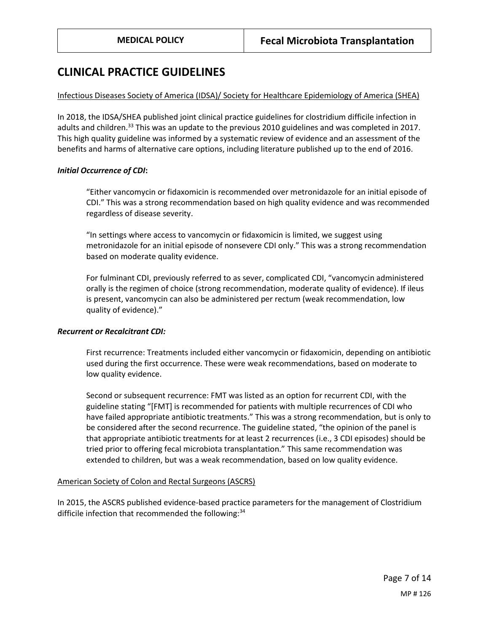## **CLINICAL PRACTICE GUIDELINES**

#### Infectious Diseases Society of America (IDSA)/ Society for Healthcare Epidemiology of America (SHEA)

In 2018, the IDSA/SHEA published joint clinical practice guidelines for clostridium difficile infection in adults and children.<sup>33</sup> This was an update to the previous 2010 guidelines and was completed in 2017. This high quality guideline was informed by a systematic review of evidence and an assessment of the benefits and harms of alternative care options, including literature published up to the end of 2016.

#### *Initial Occurrence of CDI***:**

"Either vancomycin or fidaxomicin is recommended over metronidazole for an initial episode of CDI." This was a strong recommendation based on high quality evidence and was recommended regardless of disease severity.

"In settings where access to vancomycin or fidaxomicin is limited, we suggest using metronidazole for an initial episode of nonsevere CDI only." This was a strong recommendation based on moderate quality evidence.

For fulminant CDI, previously referred to as sever, complicated CDI, "vancomycin administered orally is the regimen of choice (strong recommendation, moderate quality of evidence). If ileus is present, vancomycin can also be administered per rectum (weak recommendation, low quality of evidence)."

## *Recurrent or Recalcitrant CDI:*

First recurrence: Treatments included either vancomycin or fidaxomicin, depending on antibiotic used during the first occurrence. These were weak recommendations, based on moderate to low quality evidence.

Second or subsequent recurrence: FMT was listed as an option for recurrent CDI, with the guideline stating "[FMT] is recommended for patients with multiple recurrences of CDI who have failed appropriate antibiotic treatments." This was a strong recommendation, but is only to be considered after the second recurrence. The guideline stated, "the opinion of the panel is that appropriate antibiotic treatments for at least 2 recurrences (i.e., 3 CDI episodes) should be tried prior to offering fecal microbiota transplantation." This same recommendation was extended to children, but was a weak recommendation, based on low quality evidence.

## American Society of Colon and Rectal Surgeons (ASCRS)

In 2015, the ASCRS published evidence-based practice parameters for the management of Clostridium difficile infection that recommended the following:<sup>34</sup>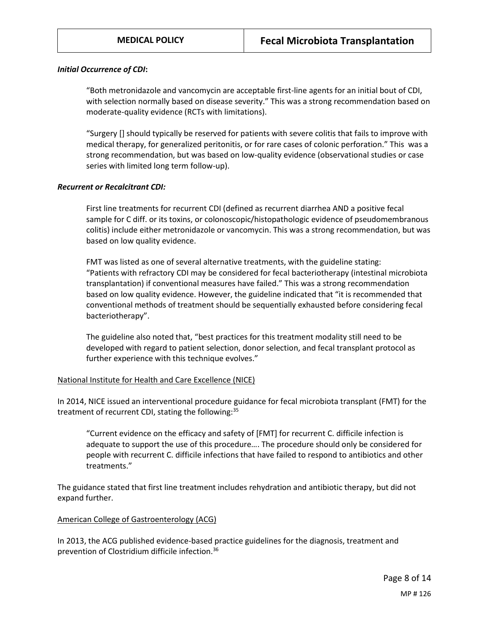#### *Initial Occurrence of CDI***:**

"Both metronidazole and vancomycin are acceptable first-line agents for an initial bout of CDI, with selection normally based on disease severity." This was a strong recommendation based on moderate-quality evidence (RCTs with limitations).

"Surgery [] should typically be reserved for patients with severe colitis that fails to improve with medical therapy, for generalized peritonitis, or for rare cases of colonic perforation." This was a strong recommendation, but was based on low-quality evidence (observational studies or case series with limited long term follow-up).

#### *Recurrent or Recalcitrant CDI:*

First line treatments for recurrent CDI (defined as recurrent diarrhea AND a positive fecal sample for C diff. or its toxins, or colonoscopic/histopathologic evidence of pseudomembranous colitis) include either metronidazole or vancomycin. This was a strong recommendation, but was based on low quality evidence.

FMT was listed as one of several alternative treatments, with the guideline stating: "Patients with refractory CDI may be considered for fecal bacteriotherapy (intestinal microbiota transplantation) if conventional measures have failed." This was a strong recommendation based on low quality evidence. However, the guideline indicated that "it is recommended that conventional methods of treatment should be sequentially exhausted before considering fecal bacteriotherapy".

The guideline also noted that, "best practices for this treatment modality still need to be developed with regard to patient selection, donor selection, and fecal transplant protocol as further experience with this technique evolves."

## National Institute for Health and Care Excellence (NICE)

In 2014, NICE issued an interventional procedure guidance for fecal microbiota transplant (FMT) for the treatment of recurrent CDI, stating the following:<sup>35</sup>

"Current evidence on the efficacy and safety of [FMT] for recurrent C. difficile infection is adequate to support the use of this procedure…. The procedure should only be considered for people with recurrent C. difficile infections that have failed to respond to antibiotics and other treatments."

The guidance stated that first line treatment includes rehydration and antibiotic therapy, but did not expand further.

## American College of Gastroenterology (ACG)

In 2013, the ACG published evidence-based practice guidelines for the diagnosis, treatment and prevention of Clostridium difficile infection.36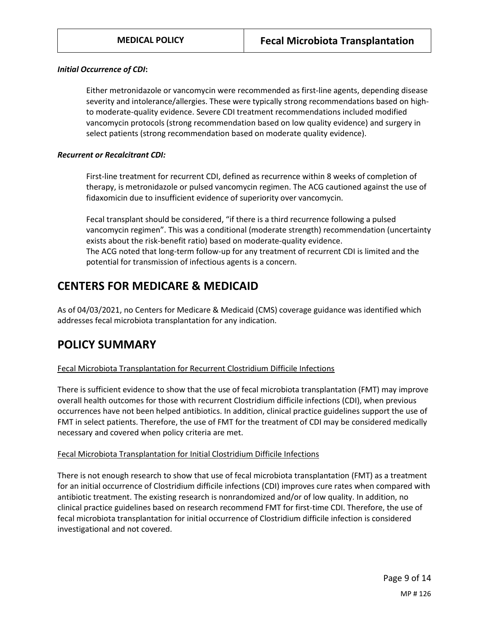#### *Initial Occurrence of CDI***:**

Either metronidazole or vancomycin were recommended as first-line agents, depending disease severity and intolerance/allergies. These were typically strong recommendations based on highto moderate-quality evidence. Severe CDI treatment recommendations included modified vancomycin protocols (strong recommendation based on low quality evidence) and surgery in select patients (strong recommendation based on moderate quality evidence).

#### *Recurrent or Recalcitrant CDI:*

First-line treatment for recurrent CDI, defined as recurrence within 8 weeks of completion of therapy, is metronidazole or pulsed vancomycin regimen. The ACG cautioned against the use of fidaxomicin due to insufficient evidence of superiority over vancomycin.

Fecal transplant should be considered, "if there is a third recurrence following a pulsed vancomycin regimen". This was a conditional (moderate strength) recommendation (uncertainty exists about the risk-benefit ratio) based on moderate-quality evidence. The ACG noted that long-term follow-up for any treatment of recurrent CDI is limited and the potential for transmission of infectious agents is a concern.

# **CENTERS FOR MEDICARE & MEDICAID**

As of 04/03/2021, no Centers for Medicare & Medicaid (CMS) coverage guidance was identified which addresses fecal microbiota transplantation for any indication.

## <span id="page-8-0"></span>**POLICY SUMMARY**

## Fecal Microbiota Transplantation for Recurrent Clostridium Difficile Infections

There is sufficient evidence to show that the use of fecal microbiota transplantation (FMT) may improve overall health outcomes for those with recurrent Clostridium difficile infections (CDI), when previous occurrences have not been helped antibiotics. In addition, clinical practice guidelines support the use of FMT in select patients. Therefore, the use of FMT for the treatment of CDI may be considered medically necessary and covered when policy criteria are met.

#### Fecal Microbiota Transplantation for Initial Clostridium Difficile Infections

There is not enough research to show that use of fecal microbiota transplantation (FMT) as a treatment for an initial occurrence of Clostridium difficile infections (CDI) improves cure rates when compared with antibiotic treatment. The existing research is nonrandomized and/or of low quality. In addition, no clinical practice guidelines based on research recommend FMT for first-time CDI. Therefore, the use of fecal microbiota transplantation for initial occurrence of Clostridium difficile infection is considered investigational and not covered.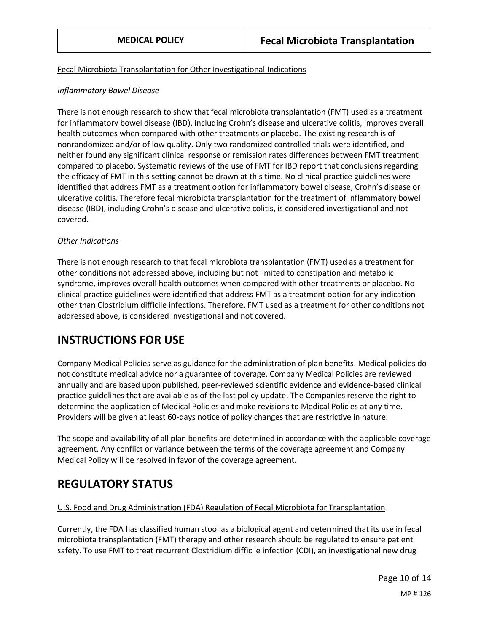## Fecal Microbiota Transplantation for Other Investigational Indications

## *Inflammatory Bowel Disease*

There is not enough research to show that fecal microbiota transplantation (FMT) used as a treatment for inflammatory bowel disease (IBD), including Crohn's disease and ulcerative colitis, improves overall health outcomes when compared with other treatments or placebo. The existing research is of nonrandomized and/or of low quality. Only two randomized controlled trials were identified, and neither found any significant clinical response or remission rates differences between FMT treatment compared to placebo. Systematic reviews of the use of FMT for IBD report that conclusions regarding the efficacy of FMT in this setting cannot be drawn at this time. No clinical practice guidelines were identified that address FMT as a treatment option for inflammatory bowel disease, Crohn's disease or ulcerative colitis. Therefore fecal microbiota transplantation for the treatment of inflammatory bowel disease (IBD), including Crohn's disease and ulcerative colitis, is considered investigational and not covered.

## *Other Indications*

There is not enough research to that fecal microbiota transplantation (FMT) used as a treatment for other conditions not addressed above, including but not limited to constipation and metabolic syndrome, improves overall health outcomes when compared with other treatments or placebo. No clinical practice guidelines were identified that address FMT as a treatment option for any indication other than Clostridium difficile infections. Therefore, FMT used as a treatment for other conditions not addressed above, is considered investigational and not covered.

# **INSTRUCTIONS FOR USE**

Company Medical Policies serve as guidance for the administration of plan benefits. Medical policies do not constitute medical advice nor a guarantee of coverage. Company Medical Policies are reviewed annually and are based upon published, peer-reviewed scientific evidence and evidence-based clinical practice guidelines that are available as of the last policy update. The Companies reserve the right to determine the application of Medical Policies and make revisions to Medical Policies at any time. Providers will be given at least 60-days notice of policy changes that are restrictive in nature.

The scope and availability of all plan benefits are determined in accordance with the applicable coverage agreement. Any conflict or variance between the terms of the coverage agreement and Company Medical Policy will be resolved in favor of the coverage agreement.

# **REGULATORY STATUS**

## U.S. Food and Drug Administration (FDA) Regulation of Fecal Microbiota for Transplantation

Currently, the FDA has classified human stool as a biological agent and determined that its use in fecal microbiota transplantation (FMT) therapy and other research should be regulated to ensure patient safety. To use FMT to treat recurrent Clostridium difficile infection (CDI), an investigational new drug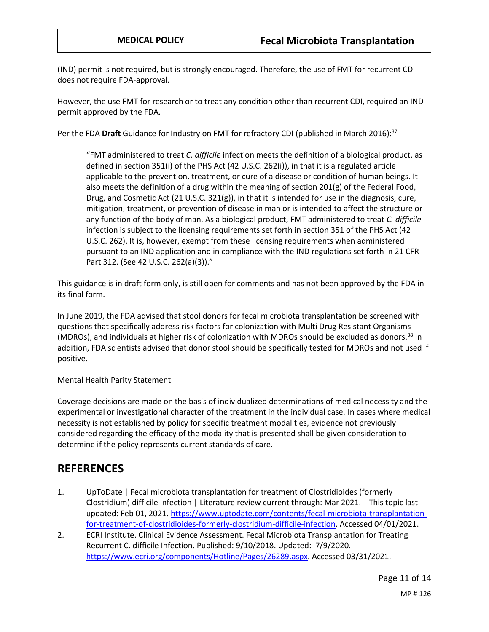(IND) permit is not required, but is strongly encouraged. Therefore, the use of FMT for recurrent CDI does not require FDA-approval.

However, the use FMT for research or to treat any condition other than recurrent CDI, required an IND permit approved by the FDA.

Per the FDA **Draft** Guidance for Industry on FMT for refractory CDI (published in March 2016): 37

"FMT administered to treat *C. difficile* infection meets the definition of a biological product, as defined in section 351(i) of the PHS Act (42 U.S.C. 262(i)), in that it is a regulated article applicable to the prevention, treatment, or cure of a disease or condition of human beings. It also meets the definition of a drug within the meaning of section 201(g) of the Federal Food, Drug, and Cosmetic Act (21 U.S.C. 321(g)), in that it is intended for use in the diagnosis, cure, mitigation, treatment, or prevention of disease in man or is intended to affect the structure or any function of the body of man. As a biological product, FMT administered to treat *C. difficile*  infection is subject to the licensing requirements set forth in section 351 of the PHS Act (42 U.S.C. 262). It is, however, exempt from these licensing requirements when administered pursuant to an IND application and in compliance with the IND regulations set forth in 21 CFR Part 312. (See 42 U.S.C. 262(a)(3))."

This guidance is in draft form only, is still open for comments and has not been approved by the FDA in its final form.

In June 2019, the FDA advised that stool donors for fecal microbiota transplantation be screened with questions that specifically address risk factors for colonization with Multi Drug Resistant Organisms (MDROs), and individuals at higher risk of colonization with MDROs should be excluded as donors.<sup>38</sup> In addition, FDA scientists advised that donor stool should be specifically tested for MDROs and not used if positive.

## Mental Health Parity Statement

Coverage decisions are made on the basis of individualized determinations of medical necessity and the experimental or investigational character of the treatment in the individual case. In cases where medical necessity is not established by policy for specific treatment modalities, evidence not previously considered regarding the efficacy of the modality that is presented shall be given consideration to determine if the policy represents current standards of care.

## **REFERENCES**

- 1. UpToDate | Fecal microbiota transplantation for treatment of Clostridioides (formerly Clostridium) difficile infection | Literature review current through: Mar 2021. | This topic last updated: Feb 01, 2021[. https://www.uptodate.com/contents/fecal-microbiota-transplantation](https://www.uptodate.com/contents/fecal-microbiota-transplantation-for-treatment-of-clostridioides-formerly-clostridium-difficile-infection)[for-treatment-of-clostridioides-formerly-clostridium-difficile-infection.](https://www.uptodate.com/contents/fecal-microbiota-transplantation-for-treatment-of-clostridioides-formerly-clostridium-difficile-infection) Accessed 04/01/2021.
- 2. ECRI Institute. Clinical Evidence Assessment. Fecal Microbiota Transplantation for Treating Recurrent C. difficile Infection. Published: 9/10/2018. Updated: 7/9/2020. [https://www.ecri.org/components/Hotline/Pages/26289.aspx.](https://www.ecri.org/components/Hotline/Pages/26289.aspx) Accessed 03/31/2021.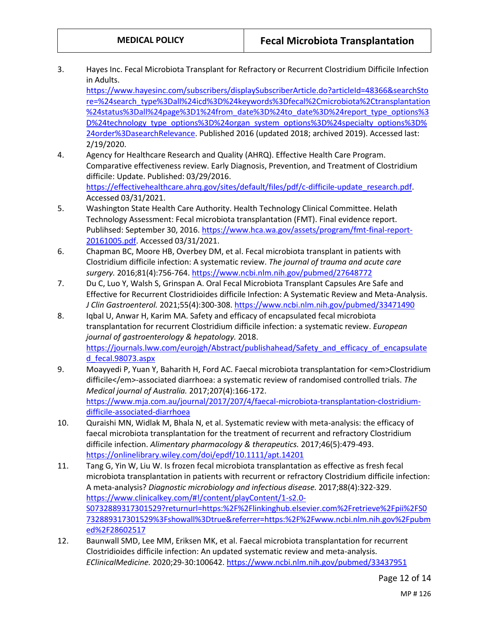3. Hayes Inc. Fecal Microbiota Transplant for Refractory or Recurrent Clostridium Difficile Infection in Adults.

[https://www.hayesinc.com/subscribers/displaySubscriberArticle.do?articleId=48366&searchSto](https://www.hayesinc.com/subscribers/displaySubscriberArticle.do?articleId=48366&searchStore=%24search_type%3Dall%24icd%3D%24keywords%3Dfecal%2Cmicrobiota%2Ctransplantation%24status%3Dall%24page%3D1%24from_date%3D%24to_date%3D%24report_type_options%3D%24technology_type_options%3D%24organ_system_options%3D%24specialty_options%3D%24order%3DasearchRelevance) [re=%24search\\_type%3Dall%24icd%3D%24keywords%3Dfecal%2Cmicrobiota%2Ctransplantation](https://www.hayesinc.com/subscribers/displaySubscriberArticle.do?articleId=48366&searchStore=%24search_type%3Dall%24icd%3D%24keywords%3Dfecal%2Cmicrobiota%2Ctransplantation%24status%3Dall%24page%3D1%24from_date%3D%24to_date%3D%24report_type_options%3D%24technology_type_options%3D%24organ_system_options%3D%24specialty_options%3D%24order%3DasearchRelevance) [%24status%3Dall%24page%3D1%24from\\_date%3D%24to\\_date%3D%24report\\_type\\_options%3](https://www.hayesinc.com/subscribers/displaySubscriberArticle.do?articleId=48366&searchStore=%24search_type%3Dall%24icd%3D%24keywords%3Dfecal%2Cmicrobiota%2Ctransplantation%24status%3Dall%24page%3D1%24from_date%3D%24to_date%3D%24report_type_options%3D%24technology_type_options%3D%24organ_system_options%3D%24specialty_options%3D%24order%3DasearchRelevance) [D%24technology\\_type\\_options%3D%24organ\\_system\\_options%3D%24specialty\\_options%3D%](https://www.hayesinc.com/subscribers/displaySubscriberArticle.do?articleId=48366&searchStore=%24search_type%3Dall%24icd%3D%24keywords%3Dfecal%2Cmicrobiota%2Ctransplantation%24status%3Dall%24page%3D1%24from_date%3D%24to_date%3D%24report_type_options%3D%24technology_type_options%3D%24organ_system_options%3D%24specialty_options%3D%24order%3DasearchRelevance) [24order%3DasearchRelevance.](https://www.hayesinc.com/subscribers/displaySubscriberArticle.do?articleId=48366&searchStore=%24search_type%3Dall%24icd%3D%24keywords%3Dfecal%2Cmicrobiota%2Ctransplantation%24status%3Dall%24page%3D1%24from_date%3D%24to_date%3D%24report_type_options%3D%24technology_type_options%3D%24organ_system_options%3D%24specialty_options%3D%24order%3DasearchRelevance) Published 2016 (updated 2018; archived 2019). Accessed last: 2/19/2020.

- 4. Agency for Healthcare Research and Quality (AHRQ). Effective Health Care Program. Comparative effectiveness review. Early Diagnosis, Prevention, and Treatment of Clostridium difficile: Update. Published: 03/29/2016. [https://effectivehealthcare.ahrq.gov/sites/default/files/pdf/c-difficile-update\\_research.pdf.](https://effectivehealthcare.ahrq.gov/sites/default/files/pdf/c-difficile-update_research.pdf) Accessed 03/31/2021.
- 5. Washington State Health Care Authority. Health Technology Clinical Committee. Helath Technology Assessment: Fecal microbiota transplantation (FMT). Final evidence report. Publihsed: September 30, 2016. [https://www.hca.wa.gov/assets/program/fmt-final-report-](https://www.hca.wa.gov/assets/program/fmt-final-report-20161005.pdf)[20161005.pdf.](https://www.hca.wa.gov/assets/program/fmt-final-report-20161005.pdf) Accessed 03/31/2021.
- 6. Chapman BC, Moore HB, Overbey DM, et al. Fecal microbiota transplant in patients with Clostridium difficile infection: A systematic review. *The journal of trauma and acute care surgery.* 2016;81(4):756-764.<https://www.ncbi.nlm.nih.gov/pubmed/27648772>
- 7. Du C, Luo Y, Walsh S, Grinspan A. Oral Fecal Microbiota Transplant Capsules Are Safe and Effective for Recurrent Clostridioides difficile Infection: A Systematic Review and Meta-Analysis. *J Clin Gastroenterol.* 2021;55(4):300-308[. https://www.ncbi.nlm.nih.gov/pubmed/33471490](https://www.ncbi.nlm.nih.gov/pubmed/33471490)
- 8. Iqbal U, Anwar H, Karim MA. Safety and efficacy of encapsulated fecal microbiota transplantation for recurrent Clostridium difficile infection: a systematic review. *European journal of gastroenterology & hepatology.* 2018. [https://journals.lww.com/eurojgh/Abstract/publishahead/Safety\\_and\\_efficacy\\_of\\_encapsulate](https://journals.lww.com/eurojgh/Abstract/publishahead/Safety_and_efficacy_of_encapsulated_fecal.98073.aspx) [d\\_fecal.98073.aspx](https://journals.lww.com/eurojgh/Abstract/publishahead/Safety_and_efficacy_of_encapsulated_fecal.98073.aspx)
- 9. Moayyedi P, Yuan Y, Baharith H, Ford AC. Faecal microbiota transplantation for <em>Clostridium difficile</em>-associated diarrhoea: a systematic review of randomised controlled trials. *The Medical journal of Australia.* 2017;207(4):166-172. [https://www.mja.com.au/journal/2017/207/4/faecal-microbiota-transplantation-clostridium](https://www.mja.com.au/journal/2017/207/4/faecal-microbiota-transplantation-clostridium-difficile-associated-diarrhoea)[difficile-associated-diarrhoea](https://www.mja.com.au/journal/2017/207/4/faecal-microbiota-transplantation-clostridium-difficile-associated-diarrhoea)
- 10. Quraishi MN, Widlak M, Bhala N, et al. Systematic review with meta-analysis: the efficacy of faecal microbiota transplantation for the treatment of recurrent and refractory Clostridium difficile infection. *Alimentary pharmacology & therapeutics.* 2017;46(5):479-493. <https://onlinelibrary.wiley.com/doi/epdf/10.1111/apt.14201>
- 11. Tang G, Yin W, Liu W. Is frozen fecal microbiota transplantation as effective as fresh fecal microbiota transplantation in patients with recurrent or refractory Clostridium difficile infection: A meta-analysis? *Diagnostic microbiology and infectious disease.* 2017;88(4):322-329. [https://www.clinicalkey.com/#!/content/playContent/1-s2.0-](https://www.clinicalkey.com/#!/content/playContent/1-s2.0-S0732889317301529?returnurl=https:%2F%2Flinkinghub.elsevier.com%2Fretrieve%2Fpii%2FS0732889317301529%3Fshowall%3Dtrue&referrer=https:%2F%2Fwww.ncbi.nlm.nih.gov%2Fpubmed%2F28602517) [S0732889317301529?returnurl=https:%2F%2Flinkinghub.elsevier.com%2Fretrieve%2Fpii%2FS0](https://www.clinicalkey.com/#!/content/playContent/1-s2.0-S0732889317301529?returnurl=https:%2F%2Flinkinghub.elsevier.com%2Fretrieve%2Fpii%2FS0732889317301529%3Fshowall%3Dtrue&referrer=https:%2F%2Fwww.ncbi.nlm.nih.gov%2Fpubmed%2F28602517) [732889317301529%3Fshowall%3Dtrue&referrer=https:%2F%2Fwww.ncbi.nlm.nih.gov%2Fpubm](https://www.clinicalkey.com/#!/content/playContent/1-s2.0-S0732889317301529?returnurl=https:%2F%2Flinkinghub.elsevier.com%2Fretrieve%2Fpii%2FS0732889317301529%3Fshowall%3Dtrue&referrer=https:%2F%2Fwww.ncbi.nlm.nih.gov%2Fpubmed%2F28602517) [ed%2F28602517](https://www.clinicalkey.com/#!/content/playContent/1-s2.0-S0732889317301529?returnurl=https:%2F%2Flinkinghub.elsevier.com%2Fretrieve%2Fpii%2FS0732889317301529%3Fshowall%3Dtrue&referrer=https:%2F%2Fwww.ncbi.nlm.nih.gov%2Fpubmed%2F28602517)
- 12. Baunwall SMD, Lee MM, Eriksen MK, et al. Faecal microbiota transplantation for recurrent Clostridioides difficile infection: An updated systematic review and meta-analysis. *EClinicalMedicine.* 2020;29-30:100642.<https://www.ncbi.nlm.nih.gov/pubmed/33437951>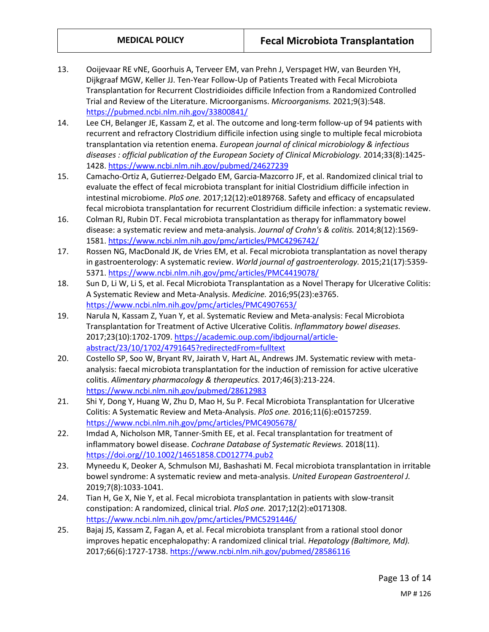- 13. Ooijevaar RE vNE, Goorhuis A, Terveer EM, van Prehn J, Verspaget HW, van Beurden YH, Dijkgraaf MGW, Keller JJ. Ten-Year Follow-Up of Patients Treated with Fecal Microbiota Transplantation for Recurrent Clostridioides difficile Infection from a Randomized Controlled Trial and Review of the Literature. Microorganisms. *Microorganisms.* 2021;9(3):548. <https://pubmed.ncbi.nlm.nih.gov/33800841/>
- 14. Lee CH, Belanger JE, Kassam Z, et al. The outcome and long-term follow-up of 94 patients with recurrent and refractory Clostridium difficile infection using single to multiple fecal microbiota transplantation via retention enema. *European journal of clinical microbiology & infectious diseases : official publication of the European Society of Clinical Microbiology.* 2014;33(8):1425- 1428[. https://www.ncbi.nlm.nih.gov/pubmed/24627239](https://www.ncbi.nlm.nih.gov/pubmed/24627239)
- 15. Camacho-Ortiz A, Gutierrez-Delgado EM, Garcia-Mazcorro JF, et al. Randomized clinical trial to evaluate the effect of fecal microbiota transplant for initial Clostridium difficile infection in intestinal microbiome. *PloS one.* 2017;12(12):e0189768. Safety and efficacy of encapsulated fecal microbiota transplantation for recurrent Clostridium difficile infection: a systematic review.
- 16. Colman RJ, Rubin DT. Fecal microbiota transplantation as therapy for inflammatory bowel disease: a systematic review and meta-analysis. *Journal of Crohn's & colitis.* 2014;8(12):1569- 1581[. https://www.ncbi.nlm.nih.gov/pmc/articles/PMC4296742/](https://www.ncbi.nlm.nih.gov/pmc/articles/PMC4296742/)
- 17. Rossen NG, MacDonald JK, de Vries EM, et al. Fecal microbiota transplantation as novel therapy in gastroenterology: A systematic review. *World journal of gastroenterology.* 2015;21(17):5359- 5371[. https://www.ncbi.nlm.nih.gov/pmc/articles/PMC4419078/](https://www.ncbi.nlm.nih.gov/pmc/articles/PMC4419078/)
- 18. Sun D, Li W, Li S, et al. Fecal Microbiota Transplantation as a Novel Therapy for Ulcerative Colitis: A Systematic Review and Meta-Analysis. *Medicine.* 2016;95(23):e3765. <https://www.ncbi.nlm.nih.gov/pmc/articles/PMC4907653/>
- 19. Narula N, Kassam Z, Yuan Y, et al. Systematic Review and Meta-analysis: Fecal Microbiota Transplantation for Treatment of Active Ulcerative Colitis. *Inflammatory bowel diseases.*  2017;23(10):1702-1709[. https://academic.oup.com/ibdjournal/article](https://academic.oup.com/ibdjournal/article-abstract/23/10/1702/4791645?redirectedFrom=fulltext)[abstract/23/10/1702/4791645?redirectedFrom=fulltext](https://academic.oup.com/ibdjournal/article-abstract/23/10/1702/4791645?redirectedFrom=fulltext)
- 20. Costello SP, Soo W, Bryant RV, Jairath V, Hart AL, Andrews JM. Systematic review with metaanalysis: faecal microbiota transplantation for the induction of remission for active ulcerative colitis. *Alimentary pharmacology & therapeutics.* 2017;46(3):213-224. <https://www.ncbi.nlm.nih.gov/pubmed/28612983>
- 21. Shi Y, Dong Y, Huang W, Zhu D, Mao H, Su P. Fecal Microbiota Transplantation for Ulcerative Colitis: A Systematic Review and Meta-Analysis. *PloS one.* 2016;11(6):e0157259. <https://www.ncbi.nlm.nih.gov/pmc/articles/PMC4905678/>
- 22. Imdad A, Nicholson MR, Tanner-Smith EE, et al. Fecal transplantation for treatment of inflammatory bowel disease. *Cochrane Database of Systematic Reviews.* 2018(11). [https://doi.org//10.1002/14651858.CD012774.pub2](https://doi.org/10.1002/14651858.CD012774.pub2)
- 23. Myneedu K, Deoker A, Schmulson MJ, Bashashati M. Fecal microbiota transplantation in irritable bowel syndrome: A systematic review and meta-analysis. *United European Gastroenterol J.*  2019;7(8):1033-1041.
- 24. Tian H, Ge X, Nie Y, et al. Fecal microbiota transplantation in patients with slow-transit constipation: A randomized, clinical trial. *PloS one.* 2017;12(2):e0171308. <https://www.ncbi.nlm.nih.gov/pmc/articles/PMC5291446/>
- 25. Bajaj JS, Kassam Z, Fagan A, et al. Fecal microbiota transplant from a rational stool donor improves hepatic encephalopathy: A randomized clinical trial. *Hepatology (Baltimore, Md).*  2017;66(6):1727-1738.<https://www.ncbi.nlm.nih.gov/pubmed/28586116>